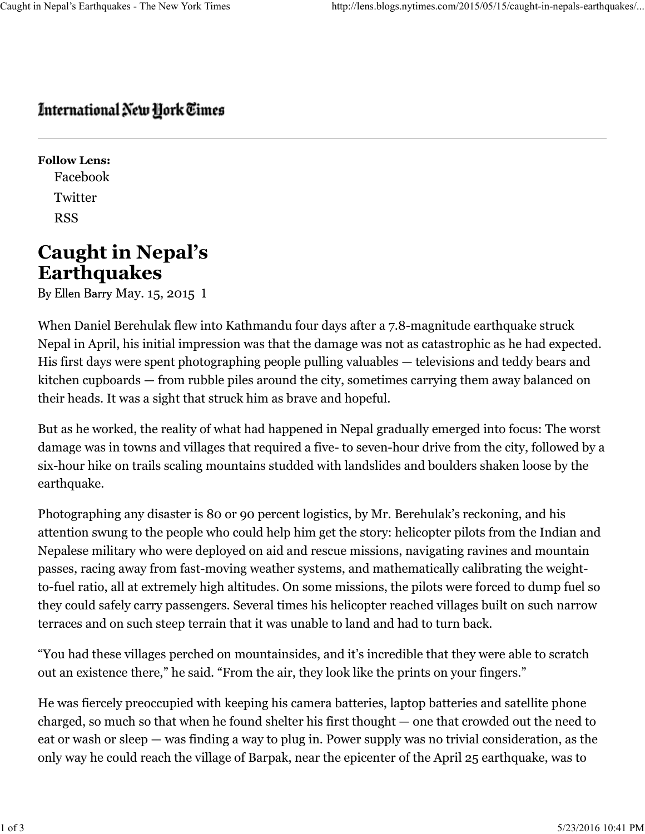## International New Hork Times

Follow Lens: Facebook **Twitter** RSS and the set of the set of the set of the set of the set of the set of the set of the set of the set of the

## Caught in Nepal's Earthquakes

By Ellen Barry May. 15, 2015 1

When Daniel Berehulak flew into Kathmandu four days after a 7.8-magnitude earthquake struck Nepal in April, his initial impression was that the damage was not as catastrophic as he had expected. His first days were spent photographing people pulling valuables — televisions and teddy bears and kitchen cupboards — from rubble piles around the city, sometimes carrying them away balanced on their heads. It was a sight that struck him as brave and hopeful.

But as he worked, the reality of what had happened in Nepal gradually emerged into focus: The worst damage was in towns and villages that required a five- to seven-hour drive from the city, followed by a six-hour hike on trails scaling mountains studded with landslides and boulders shaken loose by the earthquake.

Photographing any disaster is 80 or 90 percent logistics, by Mr. Berehulak's reckoning, and his attention swung to the people who could help him get the story: helicopter pilots from the Indian and Nepalese military who were deployed on aid and rescue missions, navigating ravines and mountain passes, racing away from fast-moving weather systems, and mathematically calibrating the weightto-fuel ratio, all at extremely high altitudes. On some missions, the pilots were forced to dump fuel so they could safely carry passengers. Several times his helicopter reached villages built on such narrow terraces and on such steep terrain that it was unable to land and had to turn back. respects minary on or except your and untached commissions, it wis passes, racing away from fast-moving weather systems, and mathematically calibrating the weightt-<br>to-fuel ratio, all at extremely high altitudes. On some m

"You had these villages perched on mountainsides, and it's incredible that they were able to scratch out an existence there," he said. "From the air, they look like the prints on your fingers."

He was fiercely preoccupied with keeping his camera batteries, laptop batteries and satellite phone charged, so much so that when he found shelter his first thought — one that crowded out the need to eat or wash or sleep — was finding a way to plug in. Power supply was no trivial consideration, as the only way he could reach the village of Barpak, near the epicenter of the April 25 earthquake, was to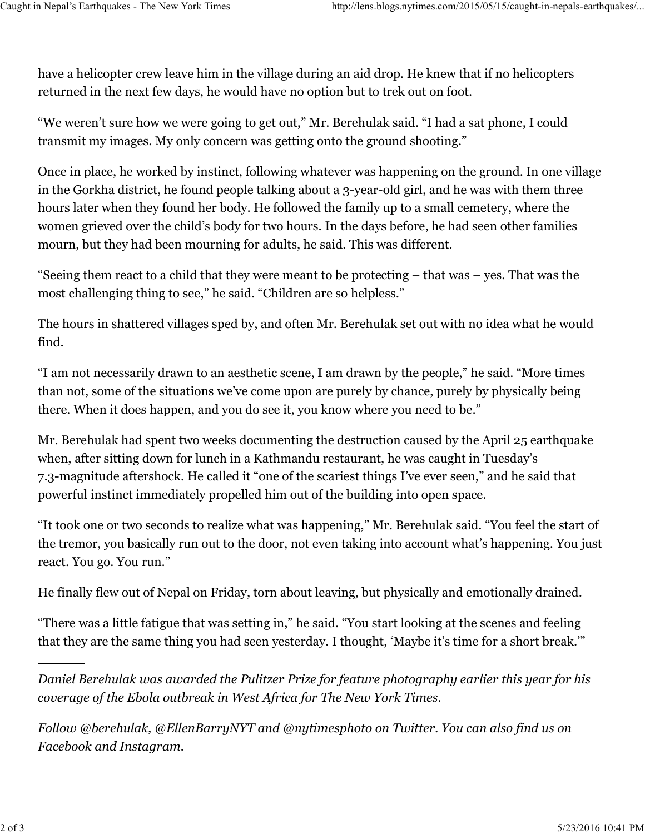have a helicopter crew leave him in the village during an aid drop. He knew that if no helicopters returned in the next few days, he would have no option but to trek out on foot. Caught in Nepal's Earthquakes - The New York Times http://lens.blogs.nytimes.com/2015/05/15/caught-in-nepals-earthquakes/...<br>have a heliconter crew leave him in the village during an aid dron. He knew that if no heliconter

"We weren't sure how we were going to get out," Mr. Berehulak said. "I had a sat phone, I could transmit my images. My only concern was getting onto the ground shooting."

Once in place, he worked by instinct, following whatever was happening on the ground. In one village in the Gorkha district, he found people talking about a 3-year-old girl, and he was with them three hours later when they found her body. He followed the family up to a small cemetery, where the women grieved over the child's body for two hours. In the days before, he had seen other families mourn, but they had been mourning for adults, he said. This was different.

"Seeing them react to a child that they were meant to be protecting – that was – yes. That was the most challenging thing to see," he said. "Children are so helpless."

The hours in shattered villages sped by, and often Mr. Berehulak set out with no idea what he would find.

"I am not necessarily drawn to an aesthetic scene, I am drawn by the people," he said. "More times than not, some of the situations we've come upon are purely by chance, purely by physically being there. When it does happen, and you do see it, you know where you need to be."

Mr. Berehulak had spent two weeks documenting the destruction caused by the April 25 earthquake when, after sitting down for lunch in a Kathmandu restaurant, he was caught in Tuesday's 7.3-magnitude aftershock. He called it "one of the scariest things I've ever seen," and he said that powerful instinct immediately propelled him out of the building into open space.

"It took one or two seconds to realize what was happening," Mr. Berehulak said. "You feel the start of the tremor, you basically run out to the door, not even taking into account what's happening. You just react. You go. You run."

He finally flew out of Nepal on Friday, torn about leaving, but physically and emotionally drained.

"There was a little fatigue that was setting in," he said. "You start looking at the scenes and feeling that they are the same thing you had seen yesterday. I thought, 'Maybe it's time for a short break.'"

Daniel Berehulak was awarded the Pulitzer Prize for feature photography earlier this year for his coverage of the Ebola outbreak in West Africa for The New York Times. react. You go. You run."<br>
He finally flew out of Nepal on Friday, torn about leaving, but physically and emotionally drained.<br>
"There was a little fatigue that was setting in," he said. "You start looking at the scenes and

Follow @berehulak, @EllenBarryNYT and @nytimesphoto on Twitter. You can also find us on Facebook and Instagram.